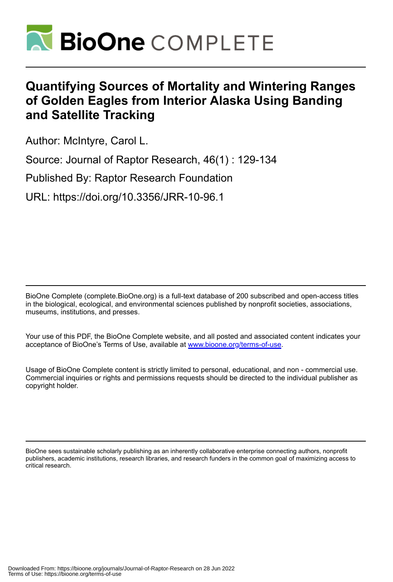

# **Quantifying Sources of Mortality and Wintering Ranges of Golden Eagles from Interior Alaska Using Banding and Satellite Tracking**

Author: McIntyre, Carol L.

Source: Journal of Raptor Research, 46(1) : 129-134

Published By: Raptor Research Foundation

URL: https://doi.org/10.3356/JRR-10-96.1

BioOne Complete (complete.BioOne.org) is a full-text database of 200 subscribed and open-access titles in the biological, ecological, and environmental sciences published by nonprofit societies, associations, museums, institutions, and presses.

Your use of this PDF, the BioOne Complete website, and all posted and associated content indicates your acceptance of BioOne's Terms of Use, available at www.bioone.org/terms-of-use.

Usage of BioOne Complete content is strictly limited to personal, educational, and non - commercial use. Commercial inquiries or rights and permissions requests should be directed to the individual publisher as copyright holder.

BioOne sees sustainable scholarly publishing as an inherently collaborative enterprise connecting authors, nonprofit publishers, academic institutions, research libraries, and research funders in the common goal of maximizing access to critical research.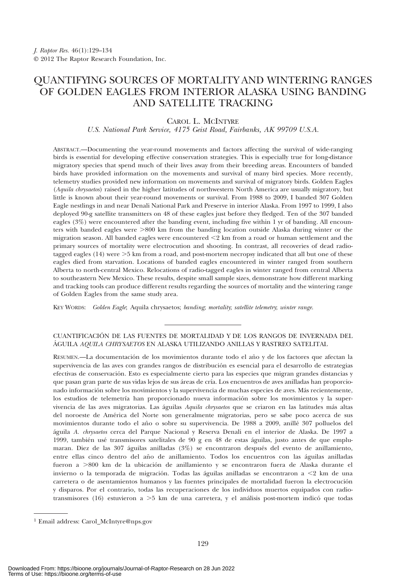## QUANTIFYING SOURCES OF MORTALITY AND WINTERING RANGES OF GOLDEN EAGLES FROM INTERIOR ALASKA USING BANDING AND SATELLITE TRACKING

### CAROL L. MCINTYRE

U.S. National Park Service, 4175 Geist Road, Fairbanks, AK 99709 U.S.A.

ABSTRACT.—Documenting the year-round movements and factors affecting the survival of wide-ranging birds is essential for developing effective conservation strategies. This is especially true for long-distance migratory species that spend much of their lives away from their breeding areas. Encounters of banded birds have provided information on the movements and survival of many bird species. More recently, telemetry studies provided new information on movements and survival of migratory birds. Golden Eagles (Aquila chrysaetos) raised in the higher latitudes of northwestern North America are usually migratory, but little is known about their year-round movements or survival. From 1988 to 2009, I banded 307 Golden Eagle nestlings in and near Denali National Park and Preserve in interior Alaska. From 1997 to 1999, I also deployed 90-g satellite transmitters on 48 of these eagles just before they fledged. Ten of the 307 banded eagles (3%) were encountered after the banding event, including five within 1 yr of banding. All encounters with banded eagles were  $>800$  km from the banding location outside Alaska during winter or the migration season. All banded eagles were encountered  $\leq 2$  km from a road or human settlement and the primary sources of mortality were electrocution and shooting. In contrast, all recoveries of dead radiotagged eagles  $(14)$  were  $>5$  km from a road, and post-mortem necropsy indicated that all but one of these eagles died from starvation. Locations of banded eagles encountered in winter ranged from southern Alberta to north-central Mexico. Relocations of radio-tagged eagles in winter ranged from central Alberta to southeastern New Mexico. These results, despite small sample sizes, demonstrate how different marking and tracking tools can produce different results regarding the sources of mortality and the wintering range of Golden Eagles from the same study area.

KEY WORDS: Golden Eagle; Aquila chrysaetos; banding; mortality; satellite telemetry; winter range.

#### CUANTIFICACIO´ N DE LAS FUENTES DE MORTALIDAD Y DE LOS RANGOS DE INVERNADA DEL ÁGUILA AQUILA CHRYSAETOS EN ALASKA UTILIZANDO ANILLAS Y RASTREO SATELITAL

RESUMEN.—La documentación de los movimientos durante todo el año y de los factores que afectan la supervivencia de las aves con grandes rangos de distribución es esencial para el desarrollo de estrategias efectivas de conservación. Esto es especialmente cierto para las especies que migran grandes distancias y que pasan gran parte de sus vidas lejos de sus áreas de cría. Los encuentros de aves anilladas han proporcionado información sobre los movimientos y la supervivencia de muchas especies de aves. Más recientemente, los estudios de telemetría han proporcionado nueva información sobre los movimientos y la supervivencia de las aves migratorias. Las águilas Aquila chrysaetos que se criaron en las latitudes más altas del noroeste de América del Norte son generalmente migratorias, pero se sabe poco acerca de sus movimientos durante todo el año o sobre su supervivencia. De 1988 a 2009, anillé 307 polluelos del águila A. chrysaetos cerca del Parque Nacional y Reserva Denali en el interior de Alaska. De 1997 a 1999, también usé transmisores satelitales de 90 g en 48 de estas águilas, justo antes de que emplumaran. Diez de las  $307$  águilas anilladas ( $3\%$ ) se encontraron después del evento de anillamiento, entre ellas cinco dentro del año de anillamiento. Todos los encuentros con las águilas anilladas fueron a >800 km de la ubicación de anillamiento y se encontraron fuera de Alaska durante el invierno o la temporada de migración. Todas las águilas anilladas se encontraron a  $\leq 2$  km de una carretera o de asentamientos humanos y las fuentes principales de mortalidad fueron la electrocución y disparos. Por el contrario, todas las recuperaciones de los individuos muertos equipados con radiotransmisores (16) estuvieron a  $>5$  km de una carretera, y el análisis post-mortem indicó que todas

<sup>1</sup> Email address: Carol\_McIntyre@nps.gov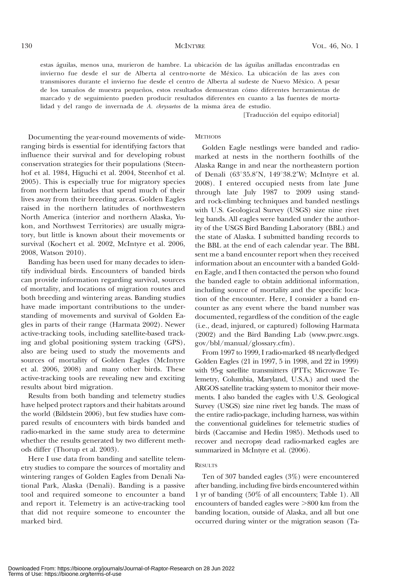estas águilas, menos una, murieron de hambre. La ubicación de las águilas anilladas encontradas en invierno fue desde el sur de Alberta al centro-norte de México. La ubicación de las aves con transmisores durante el invierno fue desde el centro de Alberta al sudeste de Nuevo México. A pesar de los tamaños de muestra pequeños, estos resultados demuestran cómo diferentes herramientas de marcado y de seguimiento pueden producir resultados diferentes en cuanto a las fuentes de mortalidad y del rango de invernada de  $A$ . *chrysaetos* de la misma área de estudio.

[Traducción del equipo editorial]

#### **METHODS**

Documenting the year-round movements of wideranging birds is essential for identifying factors that influence their survival and for developing robust conservation strategies for their populations (Steenhof et al. 1984, Higuchi et al. 2004, Steenhof et al. 2005). This is especially true for migratory species from northern latitudes that spend much of their lives away from their breeding areas. Golden Eagles raised in the northern latitudes of northwestern North America (interior and northern Alaska, Yukon, and Northwest Territories) are usually migratory, but little is known about their movements or survival (Kochert et al. 2002, McIntyre et al. 2006, 2008, Watson 2010).

Banding has been used for many decades to identify individual birds. Encounters of banded birds can provide information regarding survival, sources of mortality, and locations of migration routes and both breeding and wintering areas. Banding studies have made important contributions to the understanding of movements and survival of Golden Eagles in parts of their range (Harmata 2002). Newer active-tracking tools, including satellite-based tracking and global positioning system tracking (GPS), also are being used to study the movements and sources of mortality of Golden Eagles (McIntyre et al. 2006, 2008) and many other birds. These active-tracking tools are revealing new and exciting results about bird migration.

Results from both banding and telemetry studies have helped protect raptors and their habitats around the world (Bildstein 2006), but few studies have compared results of encounters with birds banded and radio-marked in the same study area to determine whether the results generated by two different methods differ (Thorup et al. 2003).

Here I use data from banding and satellite telemetry studies to compare the sources of mortality and wintering ranges of Golden Eagles from Denali National Park, Alaska (Denali). Banding is a passive tool and required someone to encounter a band and report it. Telemetry is an active-tracking tool that did not require someone to encounter the marked bird.

Golden Eagle nestlings were banded and radiomarked at nests in the northern foothills of the Alaska Range in and near the northeastern portion of Denali (63°35.8'N, 149°38.2'W; McIntyre et al. 2008). I entered occupied nests from late June through late July 1987 to 2009 using standard rock-climbing techniques and banded nestlings with U.S. Geological Survey (USGS) size nine rivet leg bands. All eagles were banded under the authority of the USGS Bird Banding Laboratory (BBL) and the state of Alaska. I submitted banding records to the BBL at the end of each calendar year. The BBL sent me a band encounter report when they received information about an encounter with a banded Golden Eagle, and I then contacted the person who found the banded eagle to obtain additional information, including source of mortality and the specific location of the encounter. Here, I consider a band encounter as any event where the band number was documented, regardless of the condition of the eagle (i.e., dead, injured, or captured) following Harmata (2002) and the Bird Banding Lab (www.pwrc.usgs. gov/bbl/manual/glossary.cfm).

From 1997 to 1999, I radio-marked 48 nearly-fledged Golden Eagles (21 in 1997, 5 in 1998, and 22 in 1999) with 95-g satellite transmitters (PTTs; Microwave Telemetry, Columbia, Maryland, U.S.A.) and used the ARGOS satellite tracking system to monitor their movements. I also banded the eagles with U.S. Geological Survey (USGS) size nine rivet leg bands. The mass of the entire radio-package, including harness, was within the conventional guidelines for telemetric studies of birds (Caccamise and Hedin 1985). Methods used to recover and necropsy dead radio-marked eagles are summarized in McIntyre et al.  $(2006)$ .

#### **RESULTS**

Ten of 307 banded eagles (3%) were encountered after banding, including five birds encountered within 1 yr of banding (50% of all encounters; Table 1). All encounters of banded eagles were  $>800$  km from the banding location, outside of Alaska, and all but one occurred during winter or the migration season (Ta-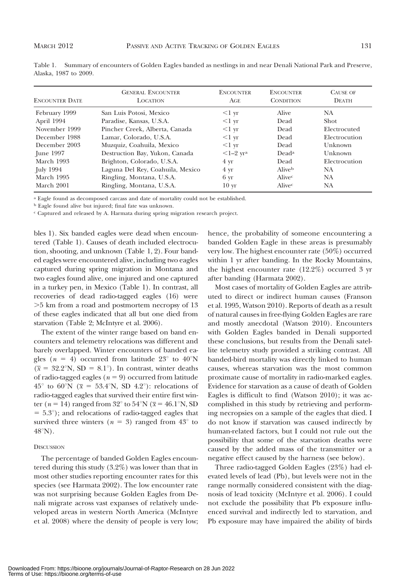|                       | Table 1. Summary of encounters of Golden Eagles banded as nestlings in and near Denali National Park and Preserve, |  |  |  |
|-----------------------|--------------------------------------------------------------------------------------------------------------------|--|--|--|
| Alaska, 1987 to 2009. |                                                                                                                    |  |  |  |

| <b>ENCOUNTER DATE</b> | <b>GENERAL ENCOUNTER</b><br><b>LOCATION</b> | <b>ENCOUNTER</b><br>AGE | <b>ENCOUNTER</b><br><b>CONDITION</b> | <b>CAUSE OF</b><br><b>DEATH</b> |
|-----------------------|---------------------------------------------|-------------------------|--------------------------------------|---------------------------------|
| February 1999         | San Luis Potosi, Mexico                     | $<$ 1 yr                | Alive                                | NA                              |
| April 1994            | Paradise, Kansas, U.S.A.                    | $<1 \text{ yr}$         | Dead                                 | Shot                            |
| November 1999         | Pincher Creek, Alberta, Canada              | $<1 \text{ yr}$         | Dead                                 | Electrocuted                    |
| December 1988         | Lamar, Colorado, U.S.A.                     | $<1 \text{ yr}$         | Dead                                 | Electrocution                   |
| December 2003         | Muzquiz, Coahuila, Mexico                   | $<$ 1 yr                | Dead                                 | Unknown                         |
| June 1997             | Destruction Bay, Yukon, Canada              | $<1-2$ yra              | Dead <sup>a</sup>                    | Unknown                         |
| March 1993            | Brighton, Colorado, U.S.A.                  | $4 \text{ yr}$          | Dead                                 | Electrocution                   |
| July 1994             | Laguna Del Rey, Coahuila, Mexico            | $4 \text{ yr}$          | Aliveb                               | NA                              |
| March 1995            | Ringling, Montana, U.S.A.                   | 6 <sub>yr</sub>         | Alivec                               | NA                              |
| March 2001            | Ringling, Montana, U.S.A.                   | 10 <sub>yr</sub>        | Alivec                               | NA                              |

<sup>a</sup> Eagle found as decomposed carcass and date of mortality could not be established.

<sup>b</sup> Eagle found alive but injured; final fate was unknown.

c Captured and released by A. Harmata during spring migration research project.

bles 1). Six banded eagles were dead when encountered (Table 1). Causes of death included electrocution, shooting, and unknown (Table 1, 2). Four banded eagles were encountered alive, including two eagles captured during spring migration in Montana and two eagles found alive, one injured and one captured in a turkey pen, in Mexico (Table 1). In contrast, all recoveries of dead radio-tagged eagles (16) were .5 km from a road and postmortem necropsy of 13 of these eagles indicated that all but one died from starvation (Table 2; McIntyre et al. 2006).

The extent of the winter range based on band encounters and telemetry relocations was different and barely overlapped. Winter encounters of banded eagles ( $n = 4$ ) occurred from latitude 23<sup>°</sup> to 40<sup>°</sup>N  $(\bar{x} = 32.2^{\circ}N, SD = 8.1^{\circ})$ . In contrast, winter deaths of radio-tagged eagles ( $n = 9$ ) occurred from latitude  $45^\circ$  to  $60^\circ\text{N}$  ( $\bar{x} = 53.4^\circ\text{N}$ , SD  $4.2^\circ$ ): relocations of radio-tagged eagles that survived their entire first winter ( $n = 14$ ) ranged from 32° to 54°N ( $\bar{x} = 46.1$ °N, SD  $= 5.3^{\circ}$ ; and relocations of radio-tagged eagles that survived three winters ( $n = 3$ ) ranged from 43<sup>°</sup> to  $48^{\circ}$ N).

#### **DISCUSSION**

The percentage of banded Golden Eagles encountered during this study (3.2%) was lower than that in most other studies reporting encounter rates for this species (see Harmata 2002). The low encounter rate was not surprising because Golden Eagles from Denali migrate across vast expanses of relatively undeveloped areas in western North America (McIntyre et al. 2008) where the density of people is very low; hence, the probability of someone encountering a banded Golden Eagle in these areas is presumably very low. The highest encounter rate (50%) occurred within 1 yr after banding. In the Rocky Mountains, the highest encounter rate (12.2%) occurred 3 yr after banding (Harmata 2002).

Most cases of mortality of Golden Eagles are attributed to direct or indirect human causes (Franson et al. 1995, Watson 2010). Reports of death as a result of natural causes in free-flying Golden Eagles are rare and mostly anecdotal (Watson 2010). Encounters with Golden Eagles banded in Denali supported these conclusions, but results from the Denali satellite telemetry study provided a striking contrast. All banded-bird mortality was directly linked to human causes, whereas starvation was the most common proximate cause of mortality in radio-marked eagles. Evidence for starvation as a cause of death of Golden Eagles is difficult to find (Watson 2010); it was accomplished in this study by retrieving and performing necropsies on a sample of the eagles that died. I do not know if starvation was caused indirectly by human-related factors, but I could not rule out the possibility that some of the starvation deaths were caused by the added mass of the transmitter or a negative effect caused by the harness (see below).

Three radio-tagged Golden Eagles (23%) had elevated levels of lead (Pb), but levels were not in the range normally considered consistent with the diagnosis of lead toxicity (McIntyre et al. 2006). I could not exclude the possibility that Pb exposure influenced survival and indirectly led to starvation, and Pb exposure may have impaired the ability of birds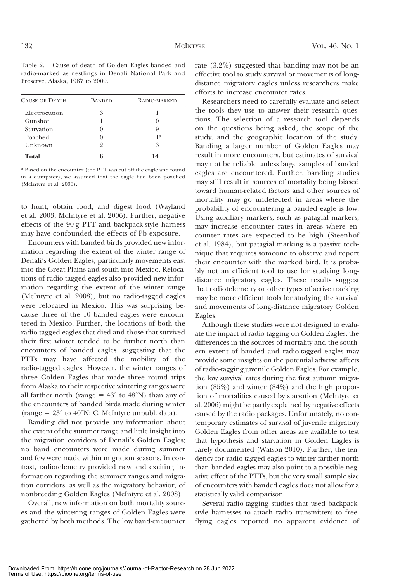Table 2. Cause of death of Golden Eagles banded and radio-marked as nestlings in Denali National Park and Preserve, Alaska, 1987 to 2009.

| <b>CAUSE OF DEATH</b> | <b>BANDED</b>    | RADIO-MARKED   |
|-----------------------|------------------|----------------|
| Electrocution         | 3                |                |
| Gunshot               |                  |                |
| Starvation            | $\left( \right)$ | 9              |
| Poached               | $\theta$         | 1 <sup>a</sup> |
| Unknown               | 9                | 3              |
| Total                 | հ                | 14             |

a Based on the encounter (the PTT was cut off the eagle and found in a dumpster), we assumed that the eagle had been poached (McIntyre et al. 2006).

to hunt, obtain food, and digest food (Wayland et al. 2003, McIntyre et al. 2006). Further, negative effects of the 90-g PTT and backpack-style harness may have confounded the effects of Pb exposure.

Encounters with banded birds provided new information regarding the extent of the winter range of Denali's Golden Eagles, particularly movements east into the Great Plains and south into Mexico. Relocations of radio-tagged eagles also provided new information regarding the extent of the winter range (McIntyre et al. 2008), but no radio-tagged eagles were relocated in Mexico. This was surprising because three of the 10 banded eagles were encountered in Mexico. Further, the locations of both the radio-tagged eagles that died and those that survived their first winter tended to be further north than encounters of banded eagles, suggesting that the PTTs may have affected the mobility of the radio-tagged eagles. However, the winter ranges of three Golden Eagles that made three round trips from Alaska to their respective wintering ranges were all farther north (range  $= 43^{\circ}$  to  $48^{\circ}$ N) than any of the encounters of banded birds made during winter (range =  $23^{\circ}$  to 40°N; C. McIntyre unpubl. data).

Banding did not provide any information about the extent of the summer range and little insight into the migration corridors of Denali's Golden Eagles; no band encounters were made during summer and few were made within migration seasons. In contrast, radiotelemetry provided new and exciting information regarding the summer ranges and migration corridors, as well as the migratory behavior, of nonbreeding Golden Eagles (McIntyre et al. 2008).

Overall, new information on both mortality sources and the wintering ranges of Golden Eagles were gathered by both methods. The low band-encounter rate (3.2%) suggested that banding may not be an effective tool to study survival or movements of longdistance migratory eagles unless researchers make efforts to increase encounter rates.

Researchers need to carefully evaluate and select the tools they use to answer their research questions. The selection of a research tool depends on the questions being asked, the scope of the study, and the geographic location of the study. Banding a larger number of Golden Eagles may result in more encounters, but estimates of survival may not be reliable unless large samples of banded eagles are encountered. Further, banding studies may still result in sources of mortality being biased toward human-related factors and other sources of mortality may go undetected in areas where the probability of encountering a banded eagle is low. Using auxiliary markers, such as patagial markers, may increase encounter rates in areas where encounter rates are expected to be high (Steenhof et al. 1984), but patagial marking is a passive technique that requires someone to observe and report their encounter with the marked bird. It is probably not an efficient tool to use for studying longdistance migratory eagles. These results suggest that radiotelemetry or other types of active tracking may be more efficient tools for studying the survival and movements of long-distance migratory Golden Eagles.

Although these studies were not designed to evaluate the impact of radio-tagging on Golden Eagles, the differences in the sources of mortality and the southern extent of banded and radio-tagged eagles may provide some insights on the potential adverse affects of radio-tagging juvenile Golden Eagles. For example, the low survival rates during the first autumn migration (85%) and winter (84%) and the high proportion of mortalities caused by starvation (McIntyre et al. 2006) might be partly explained by negative effects caused by the radio packages. Unfortunately, no contemporary estimates of survival of juvenile migratory Golden Eagles from other areas are available to test that hypothesis and starvation in Golden Eagles is rarely documented (Watson 2010). Further, the tendency for radio-tagged eagles to winter farther north than banded eagles may also point to a possible negative effect of the PTTs, but the very small sample size of encounters with banded eagles does not allow for a statistically valid comparison.

Several radio-tagging studies that used backpackstyle harnesses to attach radio transmitters to freeflying eagles reported no apparent evidence of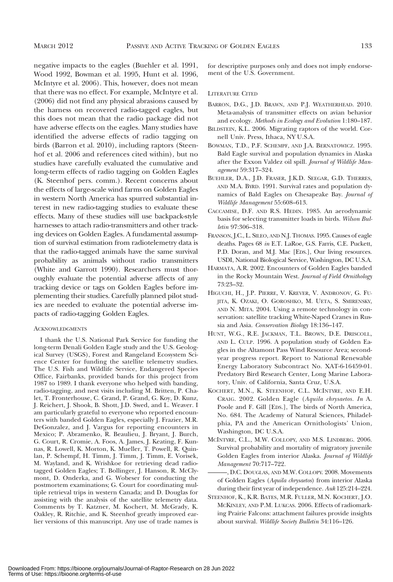negative impacts to the eagles (Buehler et al. 1991, Wood 1992, Bowman et al. 1995, Hunt et al. 1996, McIntyre et al. 2006). This, however, does not mean that there was no effect. For example, McIntyre et al. (2006) did not find any physical abrasions caused by the harness on recovered radio-tagged eagles, but this does not mean that the radio package did not have adverse effects on the eagles. Many studies have identified the adverse effects of radio tagging on birds (Barron et al. 2010), including raptors (Steenhof et al. 2006 and references cited within), but no studies have carefully evaluated the cumulative and long-term effects of radio tagging on Golden Eagles (K. Steenhof pers. comm.). Recent concerns about the effects of large-scale wind farms on Golden Eagles in western North America has spurred substantial interest in new radio-tagging studies to evaluate these effects. Many of these studies will use backpack-style harnesses to attach radio-transmitters and other tracking devices on Golden Eagles. A fundamental assumption of survival estimation from radiotelemetry data is that the radio-tagged animals have the same survival probability as animals without radio transmitters (White and Garrott 1990). Researchers must thoroughly evaluate the potential adverse affects of any tracking device or tags on Golden Eagles before implementing their studies. Carefully planned pilot studies are needed to evaluate the potential adverse impacts of radio-tagging Golden Eagles.

#### **ACKNOWLEDGMENTS**

I thank the U.S. National Park Service for funding the long-term Denali Golden Eagle study and the U.S. Geological Survey (USGS), Forest and Rangeland Ecosystem Science Center for funding the satellite telemetry studies. The U.S. Fish and Wildlife Service, Endangered Species Office, Fairbanks, provided bands for this project from 1987 to 1989. I thank everyone who helped with banding, radio-tagging, and nest visits including M. Britten, P. Chalet, T. Fronterhouse, C. Grand, P. Grand, G. Koy, D. Kunz, J. Reichert, J. Shook, B. Shott, J.D. Swed, and L. Weaver. I am particularly grateful to everyone who reported encounters with banded Golden Eagles, especially J. Frazier, M.R. DeGonzalez, and J. Vargus for reporting encounters in Mexico; P. Abramenko, R. Beaulieu, J. Bryant, J. Burch, G. Court, R. Cromie, A. Foos, A. James, J. Keating, F. Kunnas, R. Lowell, K. Morton, K. Mueller, T. Powell, R. Quinlan, P. Schempf, H. Timm, J. Timm, J. Timm, E. Vorisek, M. Wayland, and K. Wrishkoe for retrieving dead radiotagged Golden Eagles; T. Bollinger, J. Hanson, R. McClymont, D. Onderka, and G. Wobeser for conducting the postmortem examinations; G. Court for coordinating multiple retrieval trips in western Canada; and D. Douglas for assisting with the analysis of the satellite telemetry data. Comments by T. Katzner, M. Kochert, M. McGrady, K. Oakley, R. Ritchie, and K. Steenhof greatly improved earlier versions of this manuscript. Any use of trade names is for descriptive purposes only and does not imply endorsement of the U.S. Government.

#### LITERATURE CITED

- BARRON, D.G., J.D. BRAWN, AND P.J. WEATHERHEAD. 2010. Meta-analysis of transmitter effects on avian behavior and ecology. Methods in Ecology and Evolution 1:180–187.
- BILDSTEIN, K.L. 2006. Migrating raptors of the world. Cornell Univ. Press, Ithaca, NY U.S.A.
- BOWMAN, T.D., P.F. SCHEMPF, AND J.A. BERNATOWICZ. 1995. Bald Eagle survival and population dynamics in Alaska after the Exxon Valdez oil spill. Journal of Wildlife Management 59:317–324.
- BUEHLER, D.A., J.D. FRASER, J.K.D. SEEGAR, G.D. THERRES, AND M.A. BYRD. 1991. Survival rates and population dynamics of Bald Eagles on Chesapeake Bay. Journal of Wildlife Management 55:608–613.
- CACCAMISE, D.F. AND R.S. HEDIN. 1985. An aerodynamic basis for selecting transmitter loads in birds. Wilson Bulletin 97:306–318.
- FRANSON, J.C., L. SILEO, AND N.J. THOMAS. 1995. Causes of eagle deaths. Pages 68 in E.T. LaRoe, G.S. Farris, C.E. Puckett, P.D. Doran, and M.J. Mac [EDS.], Our living resources. USDI, National Biological Service, Washington, DC U.S.A.
- HARMATA, A.R. 2002. Encounters of Golden Eagles banded in the Rocky Mountain West. Journal of Field Ornithology 73:23–32.
- HIGUCHI, H., J.P. PIERRE, V. KREVER, V. ANDRONOV, G. FU-JITA, K. OZAKI, O. GOROSHKO, M. UETA, S. SMIRENSKY, AND N. MITA. 2004. Using a remote technology in conservation: satellite tracking White-Naped Cranes in Russia and Asia. Conservation Biology 18:136–147.
- HUNT, W.G., R.E. JACKMAN, T.L. BROWN, D.E. DRISCOLL, AND L. CULP. 1996. A population study of Golden Eagles in the Altamont Pass Wind Resource Area; secondyear progress report. Report to National Renewable Energy Laboratory Subcontract No. XAT-6-16459-01. Predatory Bird Research Center, Long Marine Laboratory, Univ. of California, Santa Cruz, U.S.A.
- KOCHERT, M.N., K. STEENHOF, C.L. MCINTYRE, AND E.H. CRAIG. 2002. Golden Eagle (Aquila chrysaetos. In A. Poole and F. Gill [EDS.], The birds of North America, No. 684. The Academy of Natural Sciences, Philadelphia, PA and the American Ornithologists' Union, Washington, DC U.S.A.
- MCINTYRE, C.L., M.W. COLLOPY, AND M.S. LINDBERG. 2006. Survival probability and mortality of migratory juvenile Golden Eagles from interior Alaska. Journal of Wildlife Management 70:717–722.
- ———, D.C. DOUGLAS, AND M.W. COLLOPY. 2008. Movements of Golden Eagles (Aquila chrysaetos) from interior Alaska during their first year of independence. Auk 125:214–224.
- STEENHOF, K., K.R. BATES, M.R. FULLER, M.N. KOCHERT, J.O. MCKINLEY, AND P.M. LUKCAS. 2006. Effects of radiomarking Prairie Falcons: attachment failures provide insights about survival. Wildlife Society Bulletin 34:116–126.